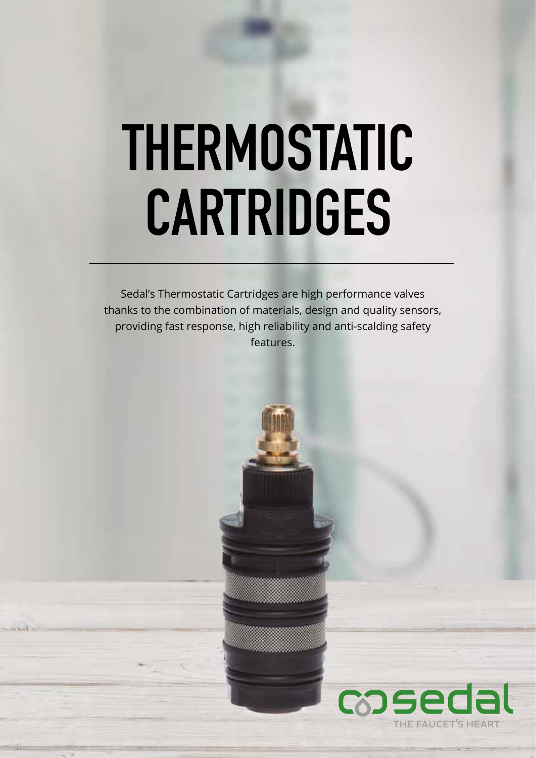# **THERMOSTATIC CARTRIDGES**

Sedal's Thermostatic Cartridges are high performance valves thanks to the combination of materials, design and quality sensors, providing fast response, high reliability and anti-scalding safety features.

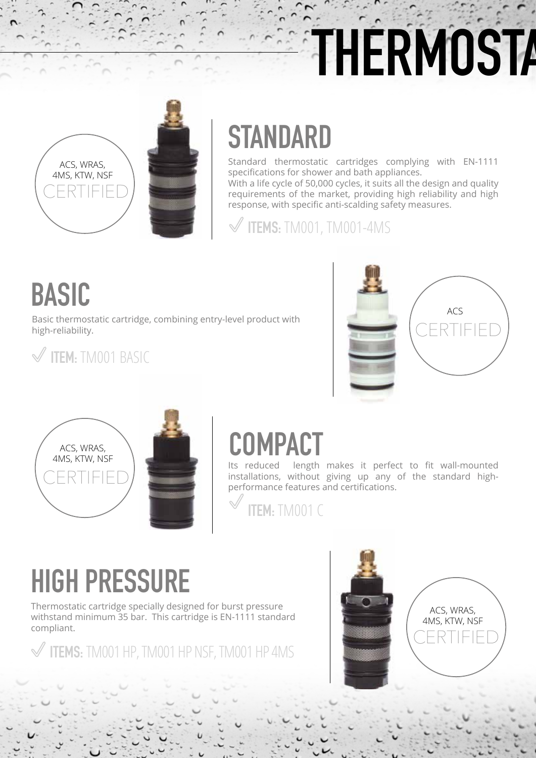# **THERMOSTA**



### **STANDARD**

Standard thermostatic cartridges complying with EN-1111 specifications for shower and bath appliances.

With a life cycle of 50,000 cycles, it suits all the design and quality requirements of the market, providing high reliability and high response, with specific anti-scalding safety measures.

**ITEMS:** TM001, TM001-4MS

### **BASIC**

Basic thermostatic cartridge, combining entry-level product with high-reliability.



### **ITEM:** TM001 BASIC



### **COMPACT**

Its reduced length makes it perfect to fit wall-mounted installations, without giving up any of the standard highperformance features and certifications.

**ITEM:** TM001 C

### **HIGH PRESSURE**

Thermostatic cartridge specially designed for burst pressure withstand minimum 35 bar. This cartridge is EN-1111 standard compliant.

**ITEMS:** TM001 HP, TM001 HP NSF, TM001 HP 4MS



ACS, WRAS, 4MS, KTW, NSF CERTIFIED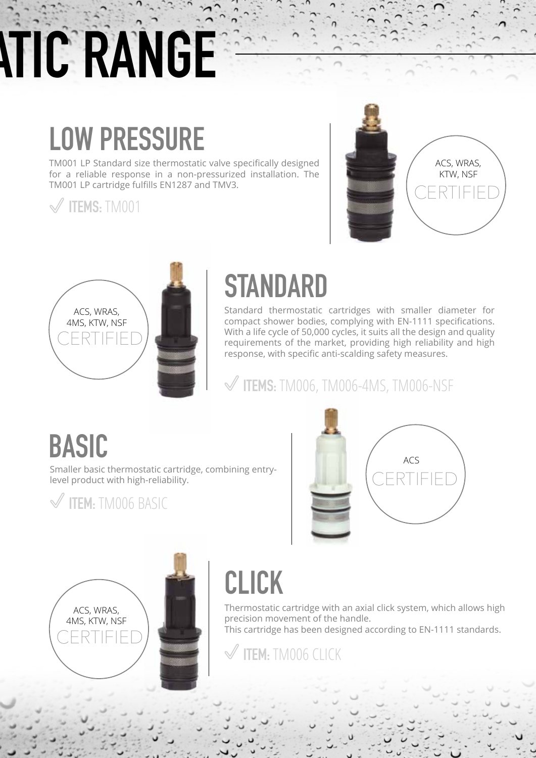# **THE RANGE**

## **LOW PRESSURE**

TM001 LP Standard size thermostatic valve specifically designed for a reliable response in a non-pressurized installation. The TM001 LP cartridge fulfills EN1287 and TMV3.

**ITEMS:** TM001





### **STANDARD**

Standard thermostatic cartridges with smaller diameter for compact shower bodies, complying with EN-1111 specifications. With a life cycle of 50,000 cycles, it suits all the design and quality requirements of the market, providing high reliability and high response, with specific anti-scalding safety measures.

**ITEMS:** TM006, TM006-4MS, TM006-NSF

#### **BASIC**

Smaller basic thermostatic cartridge, combining entrylevel product with high-reliability.





| ACS, WRAS,<br>4MS, KTW, NSF |  |
|-----------------------------|--|
| CERTIFIED                   |  |

## **CLICK**

Thermostatic cartridge with an axial click system, which allows high precision movement of the handle.

This cartridge has been designed according to EN-1111 standards.

**ITEM:** TM006 CLICK